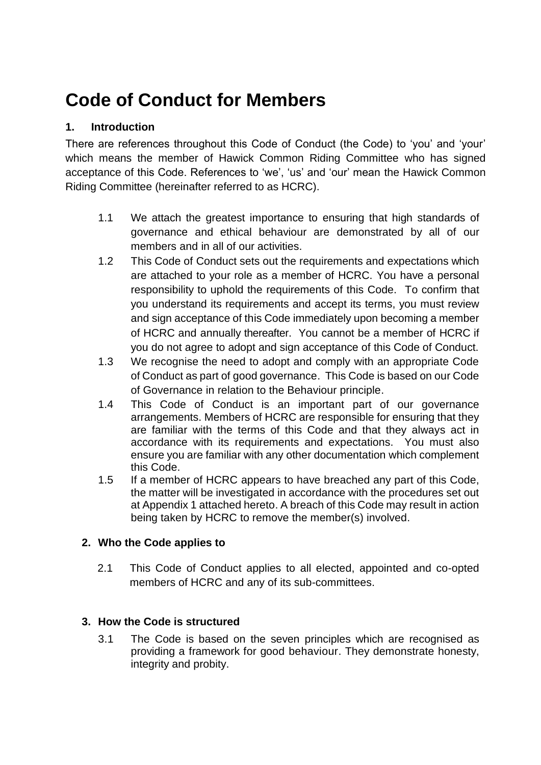# **Code of Conduct for Members**

# **1. Introduction**

There are references throughout this Code of Conduct (the Code) to 'you' and 'your' which means the member of Hawick Common Riding Committee who has signed acceptance of this Code. References to 'we', 'us' and 'our' mean the Hawick Common Riding Committee (hereinafter referred to as HCRC).

- 1.1 We attach the greatest importance to ensuring that high standards of governance and ethical behaviour are demonstrated by all of our members and in all of our activities.
- 1.2 This Code of Conduct sets out the requirements and expectations which are attached to your role as a member of HCRC. You have a personal responsibility to uphold the requirements of this Code. To confirm that you understand its requirements and accept its terms, you must review and sign acceptance of this Code immediately upon becoming a member of HCRC and annually thereafter. You cannot be a member of HCRC if you do not agree to adopt and sign acceptance of this Code of Conduct.
- 1.3 We recognise the need to adopt and comply with an appropriate Code of Conduct as part of good governance. This Code is based on our Code of Governance in relation to the Behaviour principle.
- 1.4 This Code of Conduct is an important part of our governance arrangements. Members of HCRC are responsible for ensuring that they are familiar with the terms of this Code and that they always act in accordance with its requirements and expectations. You must also ensure you are familiar with any other documentation which complement this Code.
- 1.5 If a member of HCRC appears to have breached any part of this Code, the matter will be investigated in accordance with the procedures set out at Appendix 1 attached hereto. A breach of this Code may result in action being taken by HCRC to remove the member(s) involved.

# **2. Who the Code applies to**

2.1 This Code of Conduct applies to all elected, appointed and co-opted members of HCRC and any of its sub-committees.

# **3. How the Code is structured**

3.1 The Code is based on the seven principles which are recognised as providing a framework for good behaviour. They demonstrate honesty, integrity and probity.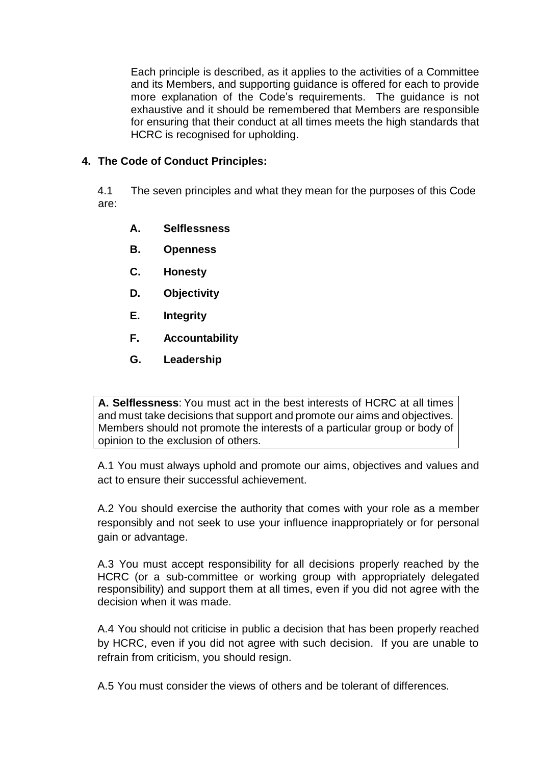Each principle is described, as it applies to the activities of a Committee and its Members, and supporting guidance is offered for each to provide more explanation of the Code's requirements. The guidance is not exhaustive and it should be remembered that Members are responsible for ensuring that their conduct at all times meets the high standards that HCRC is recognised for upholding.

#### **4. The Code of Conduct Principles:**

4.1 The seven principles and what they mean for the purposes of this Code are:

- **A. Selflessness**
- **B. Openness**
- **C. Honesty**
- **D. Objectivity**
- **E. Integrity**
- **F. Accountability**
- **G. Leadership**

**A. Selflessness**: You must act in the best interests of HCRC at all times and must take decisions that support and promote our aims and objectives. Members should not promote the interests of a particular group or body of opinion to the exclusion of others.

A.1 You must always uphold and promote our aims, objectives and values and act to ensure their successful achievement.

A.2 You should exercise the authority that comes with your role as a member responsibly and not seek to use your influence inappropriately or for personal gain or advantage.

A.3 You must accept responsibility for all decisions properly reached by the HCRC (or a sub-committee or working group with appropriately delegated responsibility) and support them at all times, even if you did not agree with the decision when it was made.

A.4 You should not criticise in public a decision that has been properly reached by HCRC, even if you did not agree with such decision. If you are unable to refrain from criticism, you should resign.

A.5 You must consider the views of others and be tolerant of differences.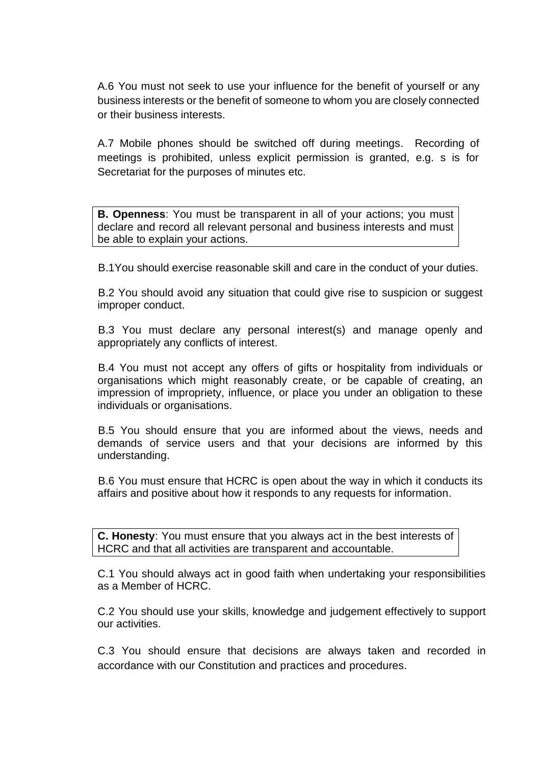A.6 You must not seek to use your influence for the benefit of yourself or any business interests or the benefit of someone to whom you are closely connected or their business interests.

A.7 Mobile phones should be switched off during meetings. Recording of meetings is prohibited, unless explicit permission is granted, e.g. s is for Secretariat for the purposes of minutes etc.

**B. Openness**: You must be transparent in all of your actions; you must declare and record all relevant personal and business interests and must be able to explain your actions.

B.1You should exercise reasonable skill and care in the conduct of your duties.

B.2 You should avoid any situation that could give rise to suspicion or suggest improper conduct.

B.3 You must declare any personal interest(s) and manage openly and appropriately any conflicts of interest.

B.4 You must not accept any offers of gifts or hospitality from individuals or organisations which might reasonably create, or be capable of creating, an impression of impropriety, influence, or place you under an obligation to these individuals or organisations.

B.5 You should ensure that you are informed about the views, needs and demands of service users and that your decisions are informed by this understanding.

B.6 You must ensure that HCRC is open about the way in which it conducts its affairs and positive about how it responds to any requests for information.

**C. Honesty**: You must ensure that you always act in the best interests of HCRC and that all activities are transparent and accountable.

C.1 You should always act in good faith when undertaking your responsibilities as a Member of HCRC.

C.2 You should use your skills, knowledge and judgement effectively to support our activities.

C.3 You should ensure that decisions are always taken and recorded in accordance with our Constitution and practices and procedures.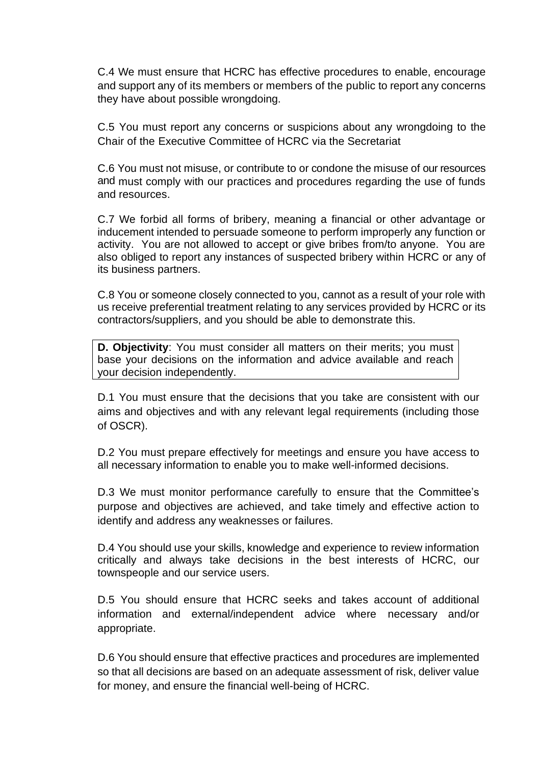C.4 We must ensure that HCRC has effective procedures to enable, encourage and support any of its members or members of the public to report any concerns they have about possible wrongdoing.

C.5 You must report any concerns or suspicions about any wrongdoing to the Chair of the Executive Committee of HCRC via the Secretariat

C.6 You must not misuse, or contribute to or condone the misuse of our resources and must comply with our practices and procedures regarding the use of funds and resources.

C.7 We forbid all forms of bribery, meaning a financial or other advantage or inducement intended to persuade someone to perform improperly any function or activity. You are not allowed to accept or give bribes from/to anyone. You are also obliged to report any instances of suspected bribery within HCRC or any of its business partners.

C.8 You or someone closely connected to you, cannot as a result of your role with us receive preferential treatment relating to any services provided by HCRC or its contractors/suppliers, and you should be able to demonstrate this.

**D. Objectivity**: You must consider all matters on their merits; you must base your decisions on the information and advice available and reach your decision independently.

D.1 You must ensure that the decisions that you take are consistent with our aims and objectives and with any relevant legal requirements (including those of OSCR).

D.2 You must prepare effectively for meetings and ensure you have access to all necessary information to enable you to make well-informed decisions.

D.3 We must monitor performance carefully to ensure that the Committee's purpose and objectives are achieved, and take timely and effective action to identify and address any weaknesses or failures.

D.4 You should use your skills, knowledge and experience to review information critically and always take decisions in the best interests of HCRC, our townspeople and our service users.

D.5 You should ensure that HCRC seeks and takes account of additional information and external/independent advice where necessary and/or appropriate.

D.6 You should ensure that effective practices and procedures are implemented so that all decisions are based on an adequate assessment of risk, deliver value for money, and ensure the financial well-being of HCRC.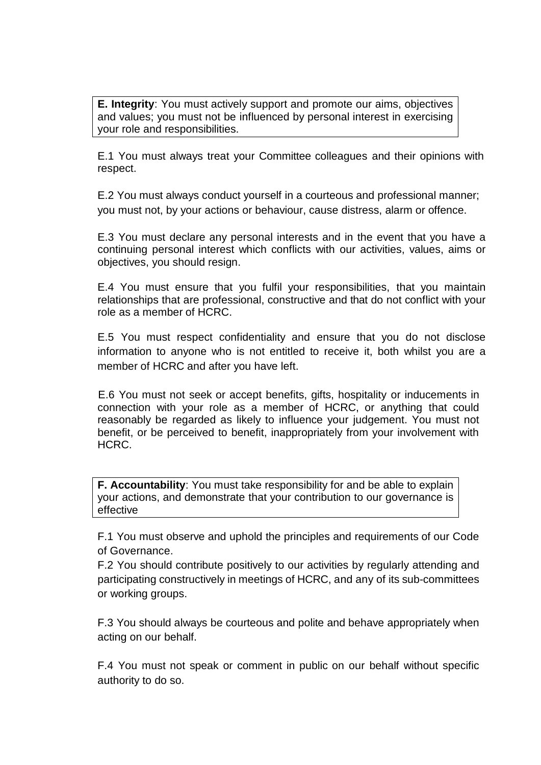**E. Integrity**: You must actively support and promote our aims, objectives and values; you must not be influenced by personal interest in exercising your role and responsibilities.

E.1 You must always treat your Committee colleagues and their opinions with respect.

E.2 You must always conduct yourself in a courteous and professional manner; you must not, by your actions or behaviour, cause distress, alarm or offence.

E.3 You must declare any personal interests and in the event that you have a continuing personal interest which conflicts with our activities, values, aims or objectives, you should resign.

E.4 You must ensure that you fulfil your responsibilities, that you maintain relationships that are professional, constructive and that do not conflict with your role as a member of HCRC.

E.5 You must respect confidentiality and ensure that you do not disclose information to anyone who is not entitled to receive it, both whilst you are a member of HCRC and after you have left.

E.6 You must not seek or accept benefits, gifts, hospitality or inducements in connection with your role as a member of HCRC, or anything that could reasonably be regarded as likely to influence your judgement. You must not benefit, or be perceived to benefit, inappropriately from your involvement with HCRC.

**F. Accountability**: You must take responsibility for and be able to explain your actions, and demonstrate that your contribution to our governance is effective

F.1 You must observe and uphold the principles and requirements of our Code of Governance.

F.2 You should contribute positively to our activities by regularly attending and participating constructively in meetings of HCRC, and any of its sub-committees or working groups.

F.3 You should always be courteous and polite and behave appropriately when acting on our behalf.

F.4 You must not speak or comment in public on our behalf without specific authority to do so.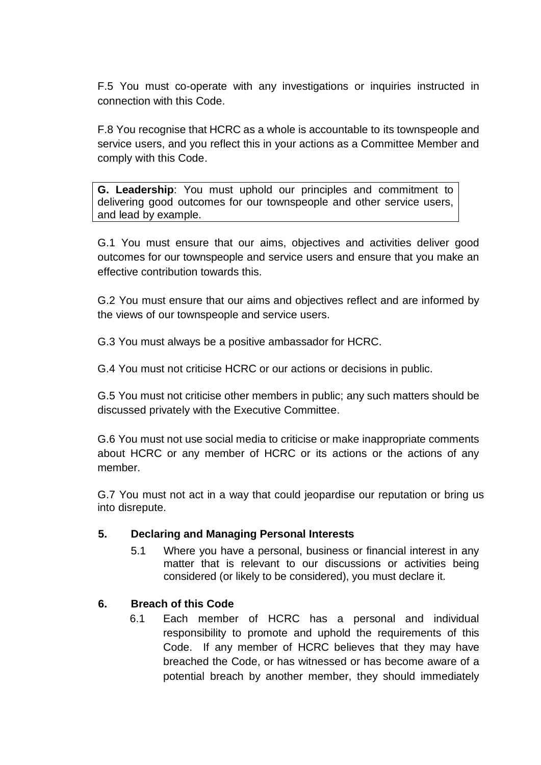F.5 You must co-operate with any investigations or inquiries instructed in connection with this Code.

F.8 You recognise that HCRC as a whole is accountable to its townspeople and service users, and you reflect this in your actions as a Committee Member and comply with this Code.

**G. Leadership**: You must uphold our principles and commitment to delivering good outcomes for our townspeople and other service users, and lead by example.

G.1 You must ensure that our aims, objectives and activities deliver good outcomes for our townspeople and service users and ensure that you make an effective contribution towards this.

G.2 You must ensure that our aims and objectives reflect and are informed by the views of our townspeople and service users.

G.3 You must always be a positive ambassador for HCRC.

G.4 You must not criticise HCRC or our actions or decisions in public.

G.5 You must not criticise other members in public; any such matters should be discussed privately with the Executive Committee.

G.6 You must not use social media to criticise or make inappropriate comments about HCRC or any member of HCRC or its actions or the actions of any member.

G.7 You must not act in a way that could jeopardise our reputation or bring us into disrepute.

# **5. Declaring and Managing Personal Interests**

5.1 Where you have a personal, business or financial interest in any matter that is relevant to our discussions or activities being considered (or likely to be considered), you must declare it.

# **6. Breach of this Code**

6.1 Each member of HCRC has a personal and individual responsibility to promote and uphold the requirements of this Code. If any member of HCRC believes that they may have breached the Code, or has witnessed or has become aware of a potential breach by another member, they should immediately